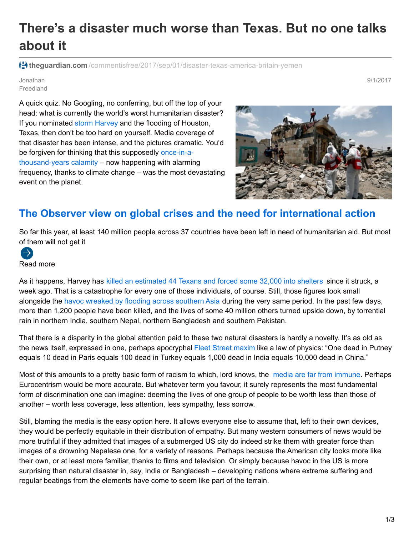## **There's a disaster much worse than Texas. But no one talks about it**

<sup>1</sup>theguardian.com[/commentisfree/2017/sep/01/disaster-texas-america-britain-yemen](https://www.theguardian.com/commentisfree/2017/sep/01/disaster-texas-america-britain-yemen)

Jonathan Freedland 9/1/2017

A quick quiz. No Googling, no conferring, but off the top of your head: what is currently the world's worst humanitarian disaster? If you nominated storm [Harvey](https://www.theguardian.com/us-news/2017/aug/28/trump-to-visit-houston-as-storm-harvey-death-toll-rises-under-historic-flooding) and the flooding of Houston, Texas, then don't be too hard on yourself. Media coverage of that disaster has been intense, and the pictures dramatic. You'd be forgiven for thinking that this supposedly once-in-a[thousand-years](https://www.washingtonpost.com/news/capital-weather-gang/wp/2017/08/31/harvey-is-a-1000-year-flood-event-unprecedented-in-scale/?utm_term=.0103bf80ec27) calamity – now happening with alarming frequency, thanks to climate change – was the most devastating event on the planet.



## **The Observer view on global crises and the need for international action**

So far this year, at least 140 million people across 37 countries have been left in need of humanitarian aid. But most of them will not get it



As it happens, Harvey has killed an [estimated](https://www.theguardian.com/us-news/2017/aug/31/houston-hurricane-storm-harvey-recovery-donald-trump) 44 Texans and forced some 32,000 into shelters since it struck, a week ago. That is a catastrophe for every one of those individuals, of course. Still, those figures look small alongside the havoc wreaked by flooding across [southern](https://www.theguardian.com/world/2017/sep/01/mumbai-residents-count-cost-rain-floods) Asia during the very same period. In the past few days, more than 1,200 people have been killed, and the lives of some 40 million others turned upside down, by torrential rain in northern India, southern Nepal, northern Bangladesh and southern Pakistan.

That there is a disparity in the global attention paid to these two natural disasters is hardly a novelty. It's as old as the news itself, expressed in one, perhaps apocryphal Fleet Street [maxim](http://tvtropes.org/pmwiki/pmwiki.php/Main/LocalAngle) like a law of physics: "One dead in Putney equals 10 dead in Paris equals 100 dead in Turkey equals 1,000 dead in India equals 10,000 dead in China."

Most of this amounts to a pretty basic form of racism to which, lord knows, the media are far from [immune](https://www.theguardian.com/commentisfree/2017/aug/31/victims-culture-wars-muslim-fostering-row). Perhaps Eurocentrism would be more accurate. But whatever term you favour, it surely represents the most fundamental form of discrimination one can imagine: deeming the lives of one group of people to be worth less than those of another – worth less coverage, less attention, less sympathy, less sorrow.

Still, blaming the media is the easy option here. It allows everyone else to assume that, left to their own devices, they would be perfectly equitable in their distribution of empathy. But many western consumers of news would be more truthful if they admitted that images of a submerged US city do indeed strike them with greater force than images of a drowning Nepalese one, for a variety of reasons. Perhaps because the American city looks more like their own, or at least more familiar, thanks to films and television. Or simply because havoc in the US is more surprising than natural disaster in, say, India or Bangladesh – developing nations where extreme suffering and regular beatings from the elements have come to seem like part of the terrain.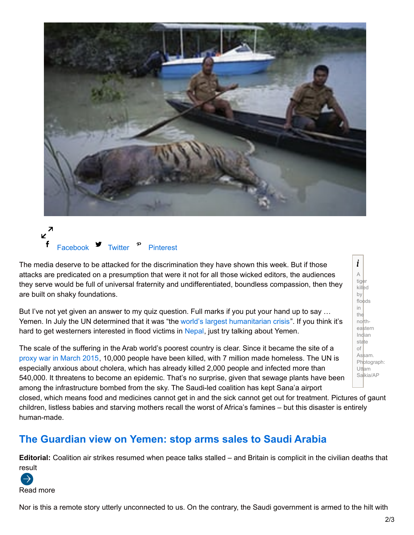



The media deserve to be attacked for the discrimination they have shown this week. But if those attacks are predicated on a presumption that were it not for all those wicked editors, the audiences they serve would be full of universal fraternity and undifferentiated, boundless compassion, then they are built on shaky foundations.

But I've not yet given an answer to my quiz question. Full marks if you put your hand up to say … Yemen. In July the UN determined that it was "the world's largest [humanitarian](https://www.nytimes.com/interactive/2017/08/23/world/middleeast/yemen-cholera-humanitarian-crisis.html?mcubz=1&_r=0) crisis". If you think it's hard to get westerners interested in flood victims in [Nepal](https://www.theguardian.com/global-development/2017/aug/16/floods-and-devastation-in-india-nepal-and-bangladesh-in-pictures), just try talking about Yemen.

The scale of the suffering in the Arab world's poorest country is clear. Since it became the site of a proxy war in [March](https://www.theguardian.com/world/2015/mar/26/iran-saudi-proxy-war-yemen-crisis) 2015, 10,000 people have been killed, with 7 million made homeless. The UN is especially anxious about cholera, which has already killed 2,000 people and infected more than 540,000. It threatens to become an epidemic. That's no surprise, given that sewage plants have been among the infrastructure bombed from the sky. The Saudi-led coalition has kept Sana'a airport

closed, which means food and medicines cannot get in and the sick cannot get out for treatment. Pictures of gaunt children, listless babies and starving mothers recall the worst of Africa's famines – but this disaster is entirely human-made.

## **The Guardian view on Yemen: stop arms sales to Saudi Arabia**

**Editorial:** Coalition air strikes resumed when peace talks stalled – and Britain is complicit in the civilian deaths that result



Nor is this a remote story utterly unconnected to us. On the contrary, the Saudi government is armed to the hilt with

 $\boldsymbol{i}$